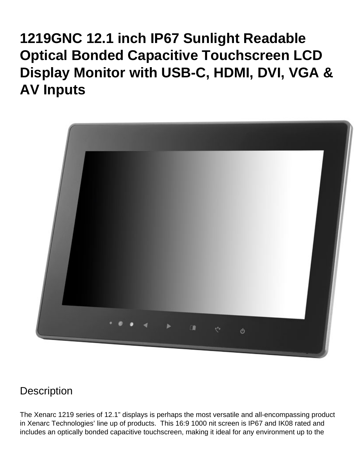# **1219GNC 12.1 inch IP67 Sunlight Readable Optical Bonded Capacitive Touchscreen LCD Display Monitor with USB-C, HDMI, DVI, VGA & AV Inputs**



#### **Description**

The Xenarc 1219 series of 12.1" displays is perhaps the most versatile and all-encompassing product in Xenarc Technologies' line up of products. This 16:9 1000 nit screen is IP67 and IK08 rated and includes an optically bonded capacitive touchscreen, making it ideal for any environment up to the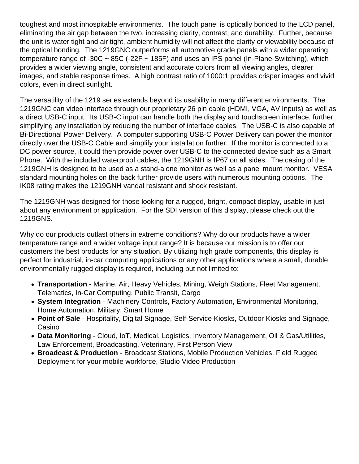toughest and most inhospitable environments. The touch panel is optically bonded to the LCD panel, eliminating the air gap between the two, increasing clarity, contrast, and durability. Further, because the unit is water tight and air tight, ambient humidity will not affect the clarity or viewability because of the optical bonding. The 1219GNC outperforms all automotive grade panels with a wider operating temperature range of -30C  $\sim$  85C (-22F  $\sim$  185F) and uses an IPS panel (In-Plane-Switching), which provides a wider viewing angle, consistent and accurate colors from all viewing angles, clearer images, and stable response times. A high contrast ratio of 1000:1 provides crisper images and vivid colors, even in direct sunlight.

The versatility of the 1219 series extends beyond its usability in many different environments. The 1219GNC can video interface through our proprietary 26 pin cable (HDMI, VGA, AV Inputs) as well as a direct USB-C input. Its USB-C input can handle both the display and touchscreen interface, further simplifying any installation by reducing the number of interface cables. The USB-C is also capable of Bi-Directional Power Delivery. A computer supporting USB-C Power Delivery can power the monitor directly over the USB-C Cable and simplify your installation further. If the monitor is connected to a DC power source, it could then provide power over USB-C to the connected device such as a Smart Phone. With the included waterproof cables, the 1219GNH is IP67 on all sides. The casing of the 1219GNH is designed to be used as a stand-alone monitor as well as a panel mount monitor. VESA standard mounting holes on the back further provide users with numerous mounting options. The IK08 rating makes the 1219GNH vandal resistant and shock resistant.

The 1219GNH was designed for those looking for a rugged, bright, compact display, usable in just about any environment or application. For the SDI version of this display, please check out the [1219GNS.](https://www.xenarc.com/1219GNS.html)

Why do our products outlast others in extreme conditions? Why do our products have a wider temperature range and a wider voltage input range? It is because our mission is to offer our customers the best products for any situation. By utilizing high grade components, this display is perfect for industrial, in-car computing applications or any other applications where a small, durable, environmentally rugged display is required, including but not limited to:

- [Transportation](https://www.xenarc.com/in-vehicle-display-monitors-fleet-transportation-management.html) - [Marine](https://www.xenarc.com/marine-outdoor-waterproof-display-monitors.html), Air, Heavy Vehicles, Mining, Weigh Stations, Fleet Management, Telematics, In-Car Computing, Public Transit, Cargo
- [System Integration](https://www.xenarc.com/system-integration-industrial-display-monitors.html) Machinery Controls, Factory Automation, Environmental Monitoring, Home Automation, Military, Smart Home
- [Point of Sale](https://www.xenarc.com/pos-touchscreen-display-monitors.html)  Hospitality, [Digital Signage](https://www.xenarc.com/casino-gaming-and-digital-signage-display-monitors.html), Self-Service Kiosks, Outdoor Kiosks and Signage, Casino
- Data Monitoring Cloud, IoT, [Medical](https://www.xenarc.com/medical-grade-touchscreen-display-monitors.html), Logistics, Inventory Management, Oil & Gas/Utilities, Law Enforcement, Broadcasting, Veterinary, First Person View
- [Broadcast & Production](https://www.xenarc.com/1219GNS-12.1-inch-sunlight-readable-IP67-IK08-optically-bonded-capacitive-touchscreen-with-SDI-HDMI-DVI-VGA-AV-Inputs-hdmi-sdi-video-output.html) Broadcast Stations, Mobile Production Vehicles, Field Rugged Deployment for your mobile workforce, Studio Video Production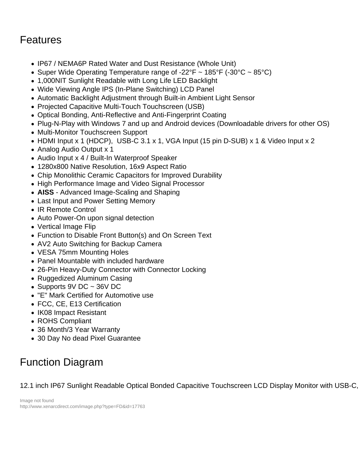### Features

- IP67 / NEMA6P Rated Water and Dust Resistance (Whole Unit)
- Super Wide Operating Temperature range of -22°F  $\sim$  185°F (-30°C  $\sim$  85°C)
- 1,000NIT Sunlight Readable with Long Life LED Backlight
- Wide Viewing Angle IPS (In-Plane Switching) LCD Panel
- Automatic Backlight Adjustment through Built-in Ambient Light Sensor
- Projected Capacitive Multi-Touch Touchscreen (USB)
- Optical Bonding, Anti-Reflective and Anti-Fingerprint Coating
- Plug-N-Play with Windows 7 and up and Android devices (Downloadable drivers for other OS)
- Multi-Monitor Touchscreen Support
- HDMI Input x 1 (HDCP), USB-C 3.1 x 1, VGA Input (15 pin D-SUB) x 1 & Video Input x 2
- Analog Audio Output x 1
- Audio Input x 4 / Built-In Waterproof Speaker
- 1280x800 Native Resolution, 16x9 Aspect Ratio
- Chip Monolithic Ceramic Capacitors for Improved Durability
- High Performance Image and Video Signal Processor
- AISS Advanced Image-Scaling and Shaping
- Last Input and Power Setting Memory
- IR Remote Control
- Auto Power-On upon signal detection
- Vertical Image Flip
- Function to Disable Front Button(s) and On Screen Text
- AV2 Auto Switching for Backup Camera
- VESA 75mm Mounting Holes
- Panel Mountable with included hardware
- 26-Pin Heavy-Duty Connector with Connector Locking
- Ruggedized Aluminum Casing
- Supports 9V DC  $\sim$  36V DC
- "E" Mark Certified for Automotive use
- FCC, CE, E13 Certification
- IK08 Impact Resistant
- ROHS Compliant
- [36 Month/3 Year Warranty](https://www.xenarc.com/Warranty.html)
- 30 Day No dead Pixel Guarantee

# Function Diagram

12.1 inch IP67 Sunlight Readable Optical Bonded Capacitive Touchscreen LCD Display Monitor with USB-C,